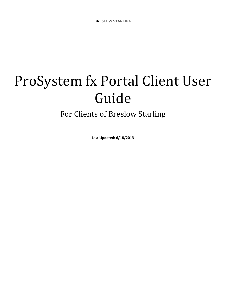# ProSystem fx Portal Client User Guide

# For Clients of Breslow Starling

**Last Updated: 6/18/2013**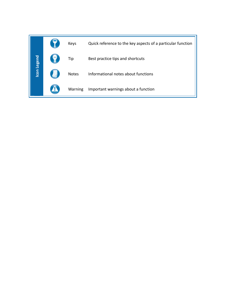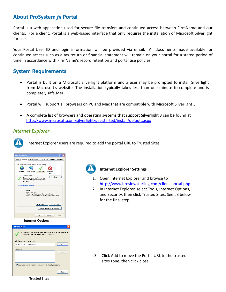# **About ProSystem** *fx* **Portal**

Portal is a web application used for secure file transfers and continued access between FirmName and our clients. For a client, Portal is a web‐based interface that only requires the installation of Microsoft Silverlight for use.

Your Portal User ID and login information will be provided via email. All documents made available for continued access such as a tax return or financial statement will remain on your portal for a stated period of time in accordance with FirmName's record retention and portal use policies.

# **System Requirements**

- Portal is built on a Microsoft Silverlight platform and a user may be prompted to install Silverlight from Microsoft's website. The installation typically takes less than one minute to complete and is completely safe.Mer
- Portal will support all browsers on PC and Mac that are compatible with Microsoft Silverlight 3.
- A complete list of browsers and operating systems that support Silverlight 3 can be found at http://www.microsoft.com/silverlight/get‐started/install/default.aspx

### *Internet Explorer*

Internet Explorer users are required to add the portal URL to Trusted Sites.

| <b>Internet Options</b>                                                                                                                       |  |  |
|-----------------------------------------------------------------------------------------------------------------------------------------------|--|--|
| Security Privacy Content Connections Programs<br>General<br>Advanced                                                                          |  |  |
|                                                                                                                                               |  |  |
| Select a zone to view or change security settings.                                                                                            |  |  |
|                                                                                                                                               |  |  |
| Internet<br>Local intranet Trusted sites<br>Restricted<br>cites                                                                               |  |  |
| <b>Trusted sites</b><br>Sites<br>This zone contains websites that you<br>trust not to damage your computer or<br>vour files.                  |  |  |
| Security level for this zone                                                                                                                  |  |  |
| <b>Fustom</b><br>Custom settings.<br>- To change the settings, click Custom level.<br>- To use the recommended settings, click Default level. |  |  |
| Custom level<br>Default level                                                                                                                 |  |  |
| Reset all zones to default level                                                                                                              |  |  |
| Cancel<br>OK<br>Apply                                                                                                                         |  |  |

#### **Internet Options**



**Trusted Sites**

#### **Internet Explorer Settings**

- 1. Open Internet Explorer and browse to http://www.breslowstarling.com/client‐portal.php
- 2. In Internet Explorer, select Tools, Internet Options, and Security, then click Trusted Sites. See #3 below for the final step.

3. Click Add to move the Portal URL to the trusted sites zone, then click close.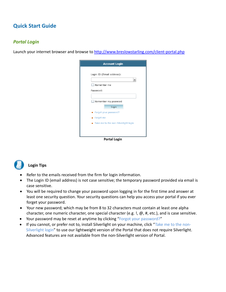# **Quick Start Guide**

# *Portal Login*

Launch your internet browser and browse to http://www.breslowstarling.com/client-portal.php

| <b>Account Login</b>                     |  |
|------------------------------------------|--|
| Login ID (Email address):<br>Remember me |  |
| Password:                                |  |
| Remember my password<br>Login            |  |
| Forgot your password?<br>Forget me       |  |
| • Take me to the non-Silverlight login   |  |
| <b>Portal Login</b>                      |  |



#### **Login Tips**

- Refer to the emails received from the firm for login information.
- The Login ID (email address) is not case sensitive; the temporary password provided via email is case sensitive.
- You will be required to change your password upon logging in for the first time and answer at least one security question. Your security questions can help you access your portal if you ever forget your password.
- Your new password; which may be from 8 to 32 characters must contain at least one alpha character, one numeric character, one special character (e.g. !,  $\omega$ , #, etc.), and is case sensitive.
- Your password may be reset at anytime by clicking "Forgot your password?"
- If you cannot, or prefer not to, install Silverlight on your machine, click "Take me to the non-Silverlight login" to use our lightweight version of the Portal that does not require Silverlight. Advanced features are not available from the non‐Silverlight version of Portal.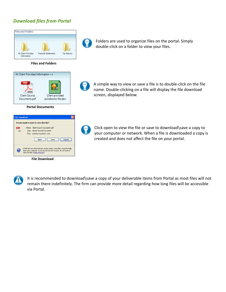# *Download files from Portal*



#### **Files and Folders**



#### **Portal Documents**

| <b>File Download</b>                   |                                                                                                                                                                                   |  |  |  |
|----------------------------------------|-----------------------------------------------------------------------------------------------------------------------------------------------------------------------------------|--|--|--|
| Do you want to open or save this file? |                                                                                                                                                                                   |  |  |  |
|                                        | Name: Client Source Documents.pdf<br>Type: Adobe Acrobat Document<br>From: portal.prosystemfx.com<br>Cancel<br>Save<br>Open                                                       |  |  |  |
|                                        | While files from the Internet can be useful, some files can potentially<br>harm your computer. If you do not trust the source, do not open or<br>save this file. What's the risk? |  |  |  |

 **File Download**



Folders are used to organize files on the portal. Simply double‐click on a folder to view your files.



A simple way to view or save a file is to double‐click on the file name. Double‐clicking on a file will display the file download screen, displayed below.



Click open to view the file or save to download\save a copy to your computer or network. When a file is downloaded a copy is created and does not affect the file on your portal.



It is recommended to download\save a copy of your deliverable items from Portal as most files will not remain there indefinitely. The firm can provide more detail regarding how long files will be accessible via Portal.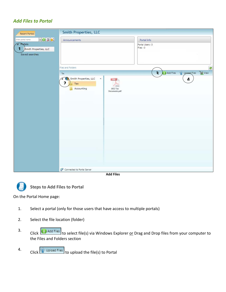# *Add Files to Portal*



**Add Files**



**Steps to Add Files to Portal**

On the Portal Home page:

- 1. Select a portal (only for those users that have access to multiple portals)
- 2. Select the file location (folder)
- 3. Click **C** Add Files to select file(s) via Windows Explorer or Drag and Drop files from your computer to the Files and Folders section
- 4. Click  $\left[\begin{matrix} 1 & 0 \\ 0 & 0 \end{matrix}\right]$  to upload the file(s) to Portal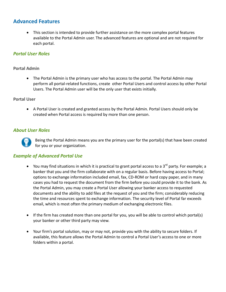# **Advanced Features**

 This section is intended to provide further assistance on the more complex portal features available to the Portal Admin user. The advanced features are optional and are not required for each portal.

# *Portal User Roles*

#### **Portal Admin**

 The Portal Admin is the primary user who has access to the portal. The Portal Admin may perform all portal‐related functions, create other Portal Users and control access by other Portal Users. The Portal Admin user will be the only user that exists initially.

#### **Portal User**

 A Portal User is created and granted access by the Portal Admin. Portal Users should only be created when Portal access is required by more than one person.

#### *About User Roles*



Being the Portal Admin means you are the primary user for the portal(s) that have been created for you or your organization.

#### *Example of Advanced Portal Use*

- $\bullet$  You may find situations in which it is practical to grant portal access to a 3<sup>rd</sup> party. For example; a banker that you and the firm collaborate with on a regular basis. Before having access to Portal; options to exchange information included email, fax, CD‐ROM or hard copy paper, and in many cases you had to request the document from the firm before you could provide it to the bank. As the Portal Admin, you may create a Portal User allowing your banker access to requested documents and the ability to add files at the request of you and the firm; considerably reducing the time and resources spent to exchange information. The security level of Portal far exceeds email, which is most often the primary medium of exchanging electronic files.
- If the firm has created more than one portal for you, you will be able to control which portal(s) your banker or other third party may view.
- Your firm's portal solution, may or may not, provide you with the ability to secure folders. If available, this feature allows the Portal Admin to control a Portal User's access to one or more folders within a portal.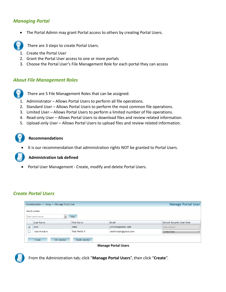# *Managing Portal*

The Portal Admin may grant Portal access to others by creating Portal Users.



There are 3 steps to create Portal Users.

- 1. Create the Portal User
- 2. Grant the Portal User access to one or more portals
- 3. Choose the Portal User's File Management Role for each portal they can access

#### *About File Management Roles*



There are 5 File Management Roles that can be assigned.

- 1. Administrator Allows Portal Users to perform all file operations.
- 2. Standard User Allows Portal Users to perform the most common file operations.
- 3. Limited User Allows Portal Users to perform a limited number of file operations.
- 4. Read-only User Allows Portal Users to download files and review related information.
- 5. Upload-only User Allows Portal Users to upload files and review related information.

#### **Recommendations**

It is our recommendation that administration rights NOT be granted to Portal Users.

#### **Administration tab defined**

Portal User Management ‐ Create, modify and delete Portal Users.

# *Create Portal Users*

|              | Administration >> Setup >> Manage Portal User |                      |                       | <b>Manage Portal User</b>  |
|--------------|-----------------------------------------------|----------------------|-----------------------|----------------------------|
|              | Search portals:                               |                      |                       |                            |
|              | Enter portal name                             | View                 |                       |                            |
|              | Last Name                                     | First Name           | Email                 | Default Security User Role |
| $\checkmark$ | Doe                                           | John                 | johndoe@email.com     | Administrator              |
| L.)          | <b>Test Portal A</b>                          | <b>Test Portal A</b> | TestPortalA@gmail.com | <b>Limited User</b>        |
|              |                                               |                      |                       |                            |
|              | Edit selected<br>Create                       | Delete selected      |                       |                            |

**Manage Portal Users**



From the Administration tab; click "**Manage Portal Users**", then click "**Create**".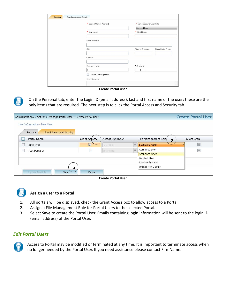| * Login ID (Email Address): | * Default Security User Role:             |
|-----------------------------|-------------------------------------------|
|                             | <b>Standard User</b>                      |
| * Last Name:                | ∗<br>First Name:                          |
|                             |                                           |
| <b>Street Address:</b>      |                                           |
|                             |                                           |
| City:                       | State or Province:<br>Zip or Postal Code: |
|                             |                                           |
| Country:                    |                                           |
|                             |                                           |
| <b>Business Phone:</b>      | Cell phone:                               |
|                             |                                           |
| Enable Email Signature      |                                           |

**Create Portal User**



On the Personal tab, enter the Login ID (email address), last and first name of the user; these are the only items that are required. The next step is to click the Portal Access and Security tab.

| Administration>> Setup>> Manage Portal User>> Create Portal User |                    |                          |   |                      | <b>Create Portal User</b> |
|------------------------------------------------------------------|--------------------|--------------------------|---|----------------------|---------------------------|
| User Information - New User                                      |                    |                          |   |                      |                           |
| Portal Access and Security<br>Personal                           |                    |                          |   |                      |                           |
| Portal Name                                                      | Grant Access       | <b>Access Expiration</b> |   | File Management Role | Client Area               |
| John Doe                                                         | $\boxed{\text{N}}$ | <b>Eriter Date</b>       | 囲 | <b>Standard User</b> |                           |
| Test Portal A                                                    |                    | <b>Enter Date</b>        |   | Administrator        |                           |
|                                                                  |                    |                          |   | <b>Standard User</b> |                           |
|                                                                  |                    |                          |   | Limited User         |                           |
|                                                                  |                    |                          |   | Read-only User       |                           |
| っ                                                                |                    |                          |   | Upload Only User     |                           |
| Update Multiple<br>Save                                          | Cancel             |                          |   |                      |                           |
|                                                                  |                    |                          |   |                      |                           |





#### **Assign a user to a Portal**

- 1. All portals will be displayed, check the Grant Access box to allow access to a Portal.
- 2. Assign a File Management Role for Portal Users to the selected Portal.
- 3. Select **Save** to create the Portal User. Emails containing login information will be sent to the login ID (email address) of the Portal User.

#### *Edit Portal Users*



Access to Portal may be modified or terminated at any time. It is important to terminate access when no longer needed by the Portal User. If you need assistance please contact FirmName.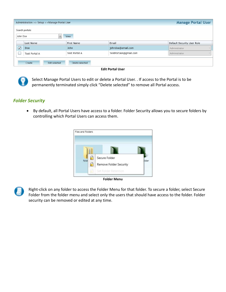|                          | Administration >> Setup >> Manage Portal User |                                  |                       | <b>Manage Portal User</b>  |
|--------------------------|-----------------------------------------------|----------------------------------|-----------------------|----------------------------|
|                          | Search portals:                               |                                  |                       |                            |
| John Doe                 |                                               | View                             |                       |                            |
|                          | Last Name                                     | First Name                       | Email                 | Default Security User Role |
| $\overline{\mathcal{L}}$ | <b>Doe</b>                                    | John                             | johndoe@email.com     | Administrator              |
| <b>Section</b>           | <b>Test Portal A</b>                          | Test Portal A                    | TestPortalA@gmail.com | Administrator              |
|                          | Create                                        | Edit selected<br>Delete selected |                       |                            |





Select Manage Portal Users to edit or delete a Portal User. . If access to the Portal is to be permanently terminated simply click "Delete selected" to remove all Portal access.

# *Folder Security*

 By default, all Portal Users have access to a folder. Folder Security allows you to secure folders by controlling which Portal Users can access them.



**Folder Menu**



Right‐click on any folder to access the Folder Menu for that folder. To secure a folder, select Secure Folder from the folder menu and select only the users that should have access to the folder. Folder security can be removed or edited at any time.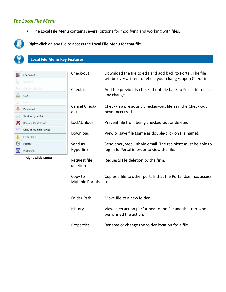# *The Local File Menu*

The Local File Menu contains several options for modifying and working with files.



Right‐click on any file to access the Local File Menu for that file.

# **Local File Menu Key Features**

| Check-out                | Check-out                          | Download the file to edit and add back to Portal. The file<br>will be overwritten to reflect your changes upon Check-in. |  |  |  |
|--------------------------|------------------------------------|--------------------------------------------------------------------------------------------------------------------------|--|--|--|
| Check-in                 |                                    |                                                                                                                          |  |  |  |
| Cancel check-out         | Check-in                           | Add the previously checked-out file back to Portal to reflect                                                            |  |  |  |
| Lock                     |                                    | any changes.                                                                                                             |  |  |  |
| Uniock                   | Cancel Check-                      |                                                                                                                          |  |  |  |
| Download                 |                                    | Check-in a previously checked-out file as if the Check-out<br>never occurred.                                            |  |  |  |
| Send as Hyperlink        | out                                |                                                                                                                          |  |  |  |
| Request file deletion    | Lock\Unlock                        | Prevent file from being checked-out or deleted.                                                                          |  |  |  |
| Copy to Multiple Portals |                                    |                                                                                                                          |  |  |  |
| Folder Path              | Download                           | View or save file (same as double-click on file name).                                                                   |  |  |  |
| History                  | Send as                            | Send encrypted link via email. The recipient must be able to                                                             |  |  |  |
| Properties               | <b>Hyperlink</b>                   | log-in to Portal in order to view the file.                                                                              |  |  |  |
| <b>Right-Click Menu</b>  | Request file<br>deletion           | Requests file deletion by the firm.                                                                                      |  |  |  |
|                          | Copy to<br><b>Multiple Portals</b> | Copies a file to other portals that the Portal User has access<br>to.                                                    |  |  |  |
|                          | <b>Folder Path</b>                 | Move file to a new folder.                                                                                               |  |  |  |
|                          | History                            | View each action performed to the file and the user who<br>performed the action.                                         |  |  |  |
|                          | Properties                         | Rename or change the folder location for a file.                                                                         |  |  |  |